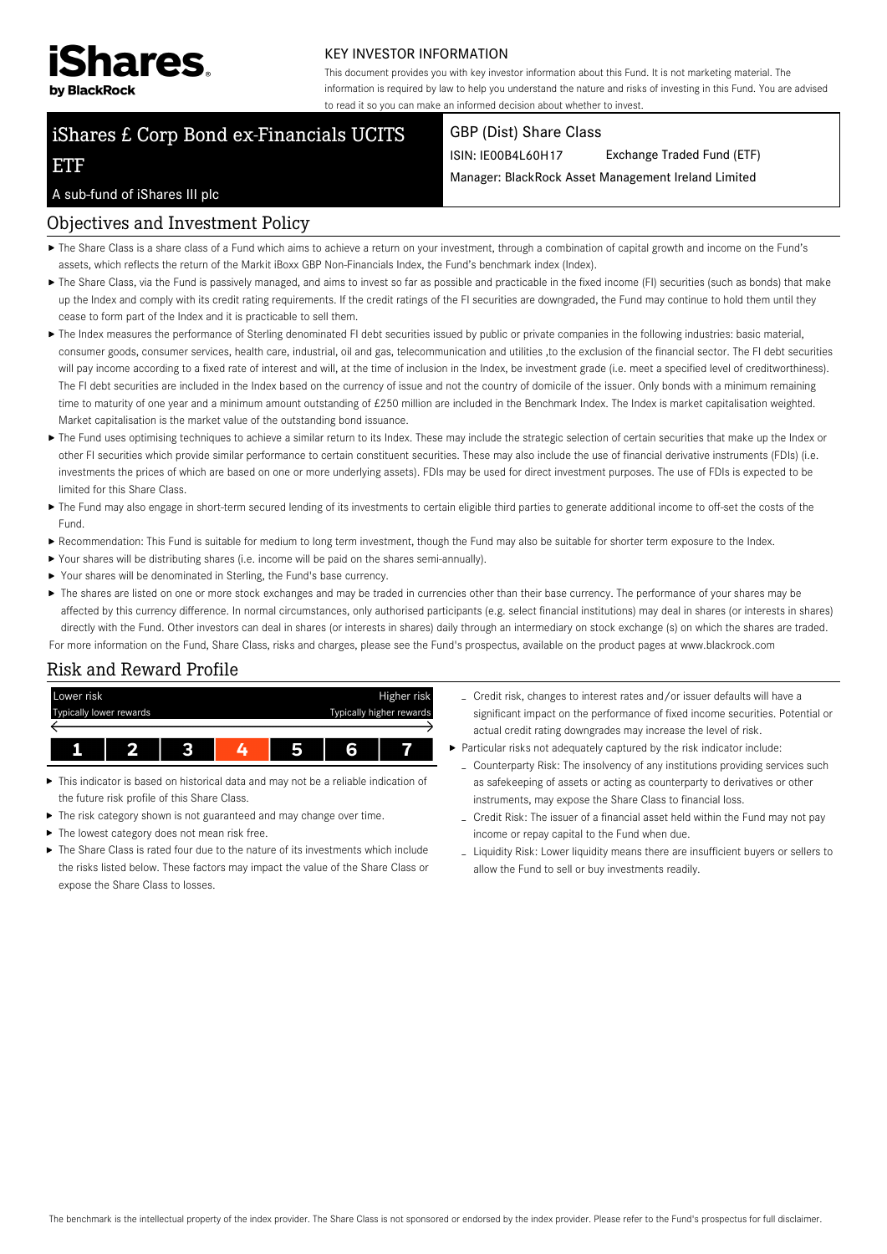

#### KEY INVESTOR INFORMATION

This document provides you with key investor information about this Fund. It is not marketing material. The information is required by law to help you understand the nature and risks of investing in this Fund. You are advised to read it so you can make an informed decision about whether to invest.

# iShares £ Corp Bond ex-Financials UCITS

#### GBP (Dist) Share Class

ISIN: IE00B4L60H17 Exchange Traded Fund (ETF)

Manager: BlackRock Asset Management Ireland Limited

#### A sub-fund of iShares III plc

ETF

#### Objectives and Investment Policy

- The Share Class is a share class of a Fund which aims to achieve a return on your investment, through a combination of capital growth and income on the Fund's assets, which reflects the return of the Markit iBoxx GBP Non-Financials Index, the Fund's benchmark index (Index).
- ▶ The Share Class, via the Fund is passively managed, and aims to invest so far as possible and practicable in the fixed income (FI) securities (such as bonds) that make up the Index and comply with its credit rating requirements. If the credit ratings of the FI securities are downgraded, the Fund may continue to hold them until they cease to form part of the Index and it is practicable to sell them.
- The Index measures the performance of Sterling denominated FI debt securities issued by public or private companies in the following industries: basic material, consumer goods, consumer services, health care, industrial, oil and gas, telecommunication and utilities, to the exclusion of the financial sector. The FI debt securities will pay income according to a fixed rate of interest and will, at the time of inclusion in the Index, be investment grade (i.e. meet a specified level of creditworthiness). The FI debt securities are included in the Index based on the currency of issue and not the country of domicile of the issuer. Only bonds with a minimum remaining time to maturity of one year and a minimum amount outstanding of £250 million are included in the Benchmark Index. The Index is market capitalisation weighted. Market capitalisation is the market value of the outstanding bond issuance.
- ▶ The Fund uses optimising techniques to achieve a similar return to its Index. These may include the strategic selection of certain securities that make up the Index or other FI securities which provide similar performance to certain constituent securities. These may also include the use of financial derivative instruments (FDIs) (i.e. investments the prices of which are based on one or more underlying assets). FDIs may be used for direct investment purposes. The use of FDIs is expected to be limited for this Share Class.
- The Fund may also engage in short-term secured lending of its investments to certain eligible third parties to generate additional income to off-set the costs of the Fund.
- Recommendation: This Fund is suitable for medium to long term investment, though the Fund may also be suitable for shorter term exposure to the Index.
- Your shares will be distributing shares (i.e. income will be paid on the shares semi-annually).
- Your shares will be denominated in Sterling, the Fund's base currency.
- ▶ The shares are listed on one or more stock exchanges and may be traded in currencies other than their base currency. The performance of your shares may be affected by this currency difference. In normal circumstances, only authorised participants (e.g. select financial institutions) may deal in shares (or interests in shares) directly with the Fund. Other investors can deal in shares (or interests in shares) daily through an intermediary on stock exchange (s) on which the shares are traded. For more information on the Fund, Share Class, risks and charges, please see the Fund's prospectus, available on the product pages at www.blackrock.com

# Risk and Reward Profile



- ь This indicator is based on historical data and may not be a reliable indication of the future risk profile of this Share Class.
- The risk category shown is not guaranteed and may change over time.
- $\blacktriangleright$  The lowest category does not mean risk free.
- $\blacktriangleright$  The Share Class is rated four due to the nature of its investments which include the risks listed below. These factors may impact the value of the Share Class or expose the Share Class to losses.
- Credit risk, changes to interest rates and/or issuer defaults will have a significant impact on the performance of fixed income securities. Potential or actual credit rating downgrades may increase the level of risk.
- Particular risks not adequately captured by the risk indicator include:
	- Counterparty Risk: The insolvency of any institutions providing services such as safekeeping of assets or acting as counterparty to derivatives or other instruments, may expose the Share Class to financial loss.
	- Credit Risk: The issuer of a financial asset held within the Fund may not pay income or repay capital to the Fund when due.
	- Liquidity Risk: Lower liquidity means there are insufficient buyers or sellers to allow the Fund to sell or buy investments readily.